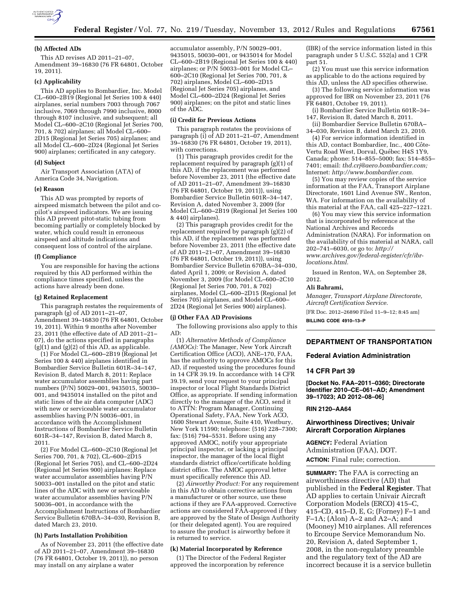

### **(b) Affected ADs**

This AD revises AD 2011–21–07, Amendment 39–16830 (76 FR 64801, October 19, 2011).

#### **(c) Applicability**

This AD applies to Bombardier, Inc. Model CL–600–2B19 (Regional Jet Series 100 & 440) airplanes, serial numbers 7003 through 7067 inclusive, 7069 through 7990 inclusive, 8000 through 8107 inclusive, and subsequent; all Model CL–600–2C10 (Regional Jet Series 700, 701, & 702) airplanes; all Model CL–600– 2D15 (Regional Jet Series 705) airplanes; and all Model CL–600–2D24 (Regional Jet Series 900) airplanes; certificated in any category.

#### **(d) Subject**

Air Transport Association (ATA) of America Code 34, Navigation.

### **(e) Reason**

This AD was prompted by reports of airspeed mismatch between the pilot and copilot's airspeed indicators. We are issuing this AD prevent pitot-static tubing from becoming partially or completely blocked by water, which could result in erroneous airspeed and altitude indications and consequent loss of control of the airplane.

#### **(f) Compliance**

You are responsible for having the actions required by this AD performed within the compliance times specified, unless the actions have already been done.

#### **(g) Retained Replacement**

This paragraph restates the requirements of paragraph (g) of AD 2011–21–07, Amendment 39–16830 (76 FR 64801, October 19, 2011). Within 9 months after November 23, 2011 (the effective date of AD 2011–21– 07), do the actions specified in paragraphs (g)(1) and (g)(2) of this AD, as applicable.

(1) For Model CL–600–2B19 (Regional Jet Series 100 & 440) airplanes identified in Bombardier Service Bulletin 601R–34–147, Revision B, dated March 8, 2011: Replace water accumulator assemblies having part numbers (P/N) 50029–001, 9435015, 50030– 001, and 9435014 installed on the pitot and static lines of the air data computer (ADC) with new or serviceable water accumulator assemblies having P/N 50036–001, in accordance with the Accomplishment Instructions of Bombardier Service Bulletin 601R–34–147, Revision B, dated March 8, 2011.

(2) For Model CL–600–2C10 (Regional Jet Series 700, 701, & 702), CL-600-2D15 (Regional Jet Series 705), and CL–600–2D24 (Regional Jet Series 900) airplanes: Replace water accumulator assemblies having P/N 50033–001 installed on the pitot and static lines of the ADC with new or serviceable water accumulator assemblies having P/N 50036–001, in accordance with the Accomplishment Instructions of Bombardier Service Bulletin 670BA–34–030, Revision B, dated March 23, 2010.

#### **(h) Parts Installation Prohibition**

As of November 23, 2011 (the effective date of AD 2011–21–07, Amendment 39–16830 (76 FR 64801, October 19, 2011)), no person may install on any airplane a water

accumulator assembly, P/N 50029–001, 9435015, 50030–001, or 9435014 for Model CL–600–2B19 (Regional Jet Series 100 & 440) airplanes; or P/N 50033–001 for Model CL– 600–2C10 (Regional Jet Series 700, 701, & 702) airplanes, Model CL–600–2D15 (Regional Jet Series 705) airplanes, and Model CL–600–2D24 (Regional Jet Series 900) airplanes; on the pitot and static lines of the ADC.

### **(i) Credit for Previous Actions**

This paragraph restates the provisions of paragraph (i) of AD 2011–21–07, Amendment 39–16830 (76 FR 64801, October 19, 2011), with corrections.

(1) This paragraph provides credit for the replacement required by paragraph (g)(1) of this AD, if the replacement was performed before November 23, 2011 (the effective date of AD 2011–21–07, Amendment 39–16830 (76 FR 64801, October 19, 2011)), using Bombardier Service Bulletin 601R–34–147, Revision A, dated November 3, 2009 (for Model CL–600–2B19 (Regional Jet Series 100 & 440) airplanes).

(2) This paragraph provides credit for the replacement required by paragraph (g)(2) of this AD, if the replacement was performed before November 23, 2011 (the effective date of AD 2011–21–07, Amendment 39–16830 (76 FR 64801, October 19, 2011)), using Bombardier Service Bulletin 670BA–34–030, dated April 1, 2009; or Revision A, dated November 3, 2009 (for Model CL–600–2C10 (Regional Jet Series 700, 701, & 702) airplanes, Model CL–600–2D15 (Regional Jet Series 705) airplanes, and Model CL–600– 2D24 (Regional Jet Series 900) airplanes).

#### **(j) Other FAA AD Provisions**

The following provisions also apply to this AD:

(1) *Alternative Methods of Compliance (AMOCs):* The Manager, New York Aircraft Certification Office (ACO), ANE–170, FAA, has the authority to approve AMOCs for this AD, if requested using the procedures found in 14 CFR 39.19. In accordance with 14 CFR 39.19, send your request to your principal inspector or local Flight Standards District Office, as appropriate. If sending information directly to the manager of the ACO, send it to ATTN: Program Manager, Continuing Operational Safety, FAA, New York ACO, 1600 Stewart Avenue, Suite 410, Westbury, New York 11590; telephone: (516) 228–7300; fax: (516) 794–5531. Before using any approved AMOC, notify your appropriate principal inspector, or lacking a principal inspector, the manager of the local flight standards district office/certificate holding district office. The AMOC approval letter must specifically reference this AD.

(2) *Airworthy Product:* For any requirement in this AD to obtain corrective actions from a manufacturer or other source, use these actions if they are FAA-approved. Corrective actions are considered FAA-approved if they are approved by the State of Design Authority (or their delegated agent). You are required to assure the product is airworthy before it is returned to service.

### **(k) Material Incorporated by Reference**

(1) The Director of the Federal Register approved the incorporation by reference

(IBR) of the service information listed in this paragraph under 5 U.S.C. 552(a) and 1 CFR part 51.

(2) You must use this service information as applicable to do the actions required by this AD, unless the AD specifies otherwise.

(3) The following service information was approved for IBR on November 23, 2011 (76 FR 64801, October 19, 2011).

(i) Bombardier Service Bulletin 601R–34– 147, Revision B, dated March 8, 2011.

(ii) Bombardier Service Bulletin 670BA– 34–030, Revision B, dated March 23, 2010.

(4) For service information identified in this AD, contact Bombardier, Inc., 400 Côte-Vertu Road West, Dorval, Québec H4S 1Y9, Canada; phone: 514–855–5000; fax: 514–855– 7401; email: *[thd.crj@aero.bombardier.com;](mailto:thd.crj@aero.bombardier.com)*  Internet: *[http://www.bombardier.com.](http://www.bombardier.com)* 

(5) You may review copies of the service information at the FAA, Transport Airplane Directorate, 1601 Lind Avenue SW., Renton, WA. For information on the availability of this material at the FAA, call 425–227–1221.

(6) You may view this service information that is incorporated by reference at the National Archives and Records Administration (NARA). For information on the availability of this material at NARA, call 202–741–6030, or go to: *[http://](http://www.archives.gov/federal-register/cfr/ibr-locations.html) [www.archives.gov/federal-register/cfr/ibr](http://www.archives.gov/federal-register/cfr/ibr-locations.html)[locations.html.](http://www.archives.gov/federal-register/cfr/ibr-locations.html)* 

Issued in Renton, WA, on September 28, 2012.

## **Ali Bahrami,**

*Manager, Transport Airplane Directorate, Aircraft Certification Service.* 

[FR Doc. 2012–26890 Filed 11–9–12; 8:45 am]

**BILLING CODE 4910–13–P** 

## **DEPARTMENT OF TRANSPORTATION**

**Federal Aviation Administration** 

## **14 CFR Part 39**

**[Docket No. FAA–2011–0360; Directorate Identifier 2010–CE–061–AD; Amendment 39–17023; AD 2012–08–06]** 

## **RIN 2120–AA64**

## **Airworthiness Directives; Univair Aircraft Corporation Airplanes**

**AGENCY:** Federal Aviation Administration (FAA), DOT. **ACTION:** Final rule; correction.

**SUMMARY:** The FAA is correcting an airworthiness directive (AD) that published in the **Federal Register**. That AD applies to certain Univair Aircraft Corporation Models (ERCO) 415–C, 415–CD, 415–D, E, G; (Forney) F–1 and F–1A; (Alon) A–2 and A2–A; and (Mooney) M10 airplanes. All references to Ercoupe Service Memorandum No. 20, Revision A, dated September 1, 2008, in the non-regulatory preamble and the regulatory text of the AD are incorrect because it is a service bulletin